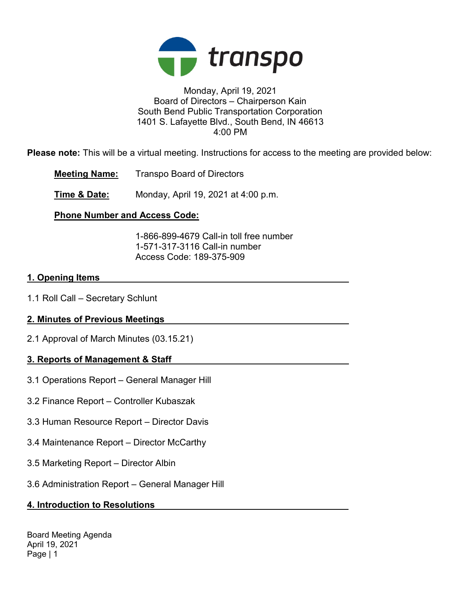

#### Monday, April 19, 2021 Board of Directors – Chairperson Kain South Bend Public Transportation Corporation 1401 S. Lafayette Blvd., South Bend, IN 46613 4:00 PM

Please note: This will be a virtual meeting. Instructions for access to the meeting are provided below:

Meeting Name: Transpo Board of Directors

**Time & Date:** Monday, April 19, 2021 at 4:00 p.m.

# Phone Number and Access Code:

 1-866-899-4679 Call-in toll free number 1-571-317-3116 Call-in number Access Code: 189-375-909

### 1. Opening Items

1.1 Roll Call – Secretary Schlunt

# 2. Minutes of Previous Meetings

2.1 Approval of March Minutes (03.15.21)

# 3. Reports of Management & Staff

- 3.1 Operations Report General Manager Hill
- 3.2 Finance Report Controller Kubaszak
- 3.3 Human Resource Report Director Davis
- 3.4 Maintenance Report Director McCarthy
- 3.5 Marketing Report Director Albin
- 3.6 Administration Report General Manager Hill

# 4. Introduction to Resolutions

Board Meeting Agenda April 19, 2021 Page | 1